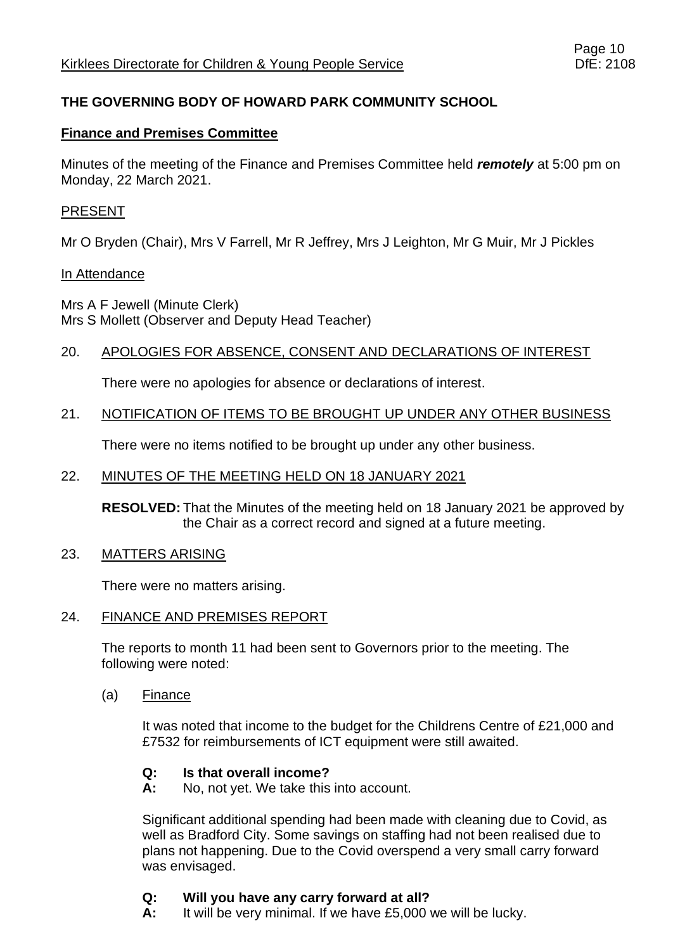# **THE GOVERNING BODY OF HOWARD PARK COMMUNITY SCHOOL**

## **Finance and Premises Committee**

Minutes of the meeting of the Finance and Premises Committee held *remotely* at 5:00 pm on Monday, 22 March 2021.

## PRESENT

Mr O Bryden (Chair), Mrs V Farrell, Mr R Jeffrey, Mrs J Leighton, Mr G Muir, Mr J Pickles

### In Attendance

Mrs A F Jewell (Minute Clerk) Mrs S Mollett (Observer and Deputy Head Teacher)

## 20. APOLOGIES FOR ABSENCE, CONSENT AND DECLARATIONS OF INTEREST

There were no apologies for absence or declarations of interest.

## 21. NOTIFICATION OF ITEMS TO BE BROUGHT UP UNDER ANY OTHER BUSINESS

There were no items notified to be brought up under any other business.

### 22. MINUTES OF THE MEETING HELD ON 18 JANUARY 2021

**RESOLVED:** That the Minutes of the meeting held on 18 January 2021 be approved by the Chair as a correct record and signed at a future meeting.

#### 23. MATTERS ARISING

There were no matters arising.

#### 24. FINANCE AND PREMISES REPORT

The reports to month 11 had been sent to Governors prior to the meeting. The following were noted:

(a) Finance

It was noted that income to the budget for the Childrens Centre of £21,000 and £7532 for reimbursements of ICT equipment were still awaited.

## **Q: Is that overall income?**

**A:** No, not yet. We take this into account.

Significant additional spending had been made with cleaning due to Covid, as well as Bradford City. Some savings on staffing had not been realised due to plans not happening. Due to the Covid overspend a very small carry forward was envisaged.

## **Q: Will you have any carry forward at all?**

**A:** It will be very minimal. If we have £5,000 we will be lucky.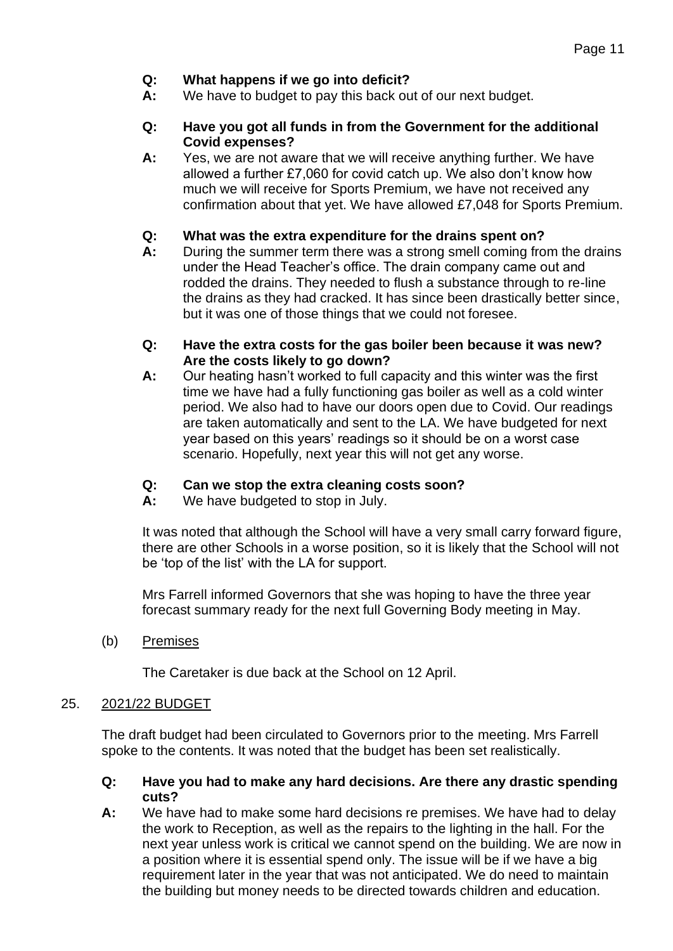## **Q: What happens if we go into deficit?**

**A:** We have to budget to pay this back out of our next budget.

### **Q: Have you got all funds in from the Government for the additional Covid expenses?**

**A:** Yes, we are not aware that we will receive anything further. We have allowed a further £7,060 for covid catch up. We also don't know how much we will receive for Sports Premium, we have not received any confirmation about that yet. We have allowed £7,048 for Sports Premium.

### **Q: What was the extra expenditure for the drains spent on?**

**A:** During the summer term there was a strong smell coming from the drains under the Head Teacher's office. The drain company came out and rodded the drains. They needed to flush a substance through to re-line the drains as they had cracked. It has since been drastically better since, but it was one of those things that we could not foresee.

### **Q: Have the extra costs for the gas boiler been because it was new? Are the costs likely to go down?**

**A:** Our heating hasn't worked to full capacity and this winter was the first time we have had a fully functioning gas boiler as well as a cold winter period. We also had to have our doors open due to Covid. Our readings are taken automatically and sent to the LA. We have budgeted for next year based on this years' readings so it should be on a worst case scenario. Hopefully, next year this will not get any worse.

## **Q: Can we stop the extra cleaning costs soon?**

**A:** We have budgeted to stop in July.

It was noted that although the School will have a very small carry forward figure, there are other Schools in a worse position, so it is likely that the School will not be 'top of the list' with the LA for support.

Mrs Farrell informed Governors that she was hoping to have the three year forecast summary ready for the next full Governing Body meeting in May.

(b) Premises

The Caretaker is due back at the School on 12 April.

## 25. 2021/22 BUDGET

The draft budget had been circulated to Governors prior to the meeting. Mrs Farrell spoke to the contents. It was noted that the budget has been set realistically.

### **Q: Have you had to make any hard decisions. Are there any drastic spending cuts?**

**A:** We have had to make some hard decisions re premises. We have had to delay the work to Reception, as well as the repairs to the lighting in the hall. For the next year unless work is critical we cannot spend on the building. We are now in a position where it is essential spend only. The issue will be if we have a big requirement later in the year that was not anticipated. We do need to maintain the building but money needs to be directed towards children and education.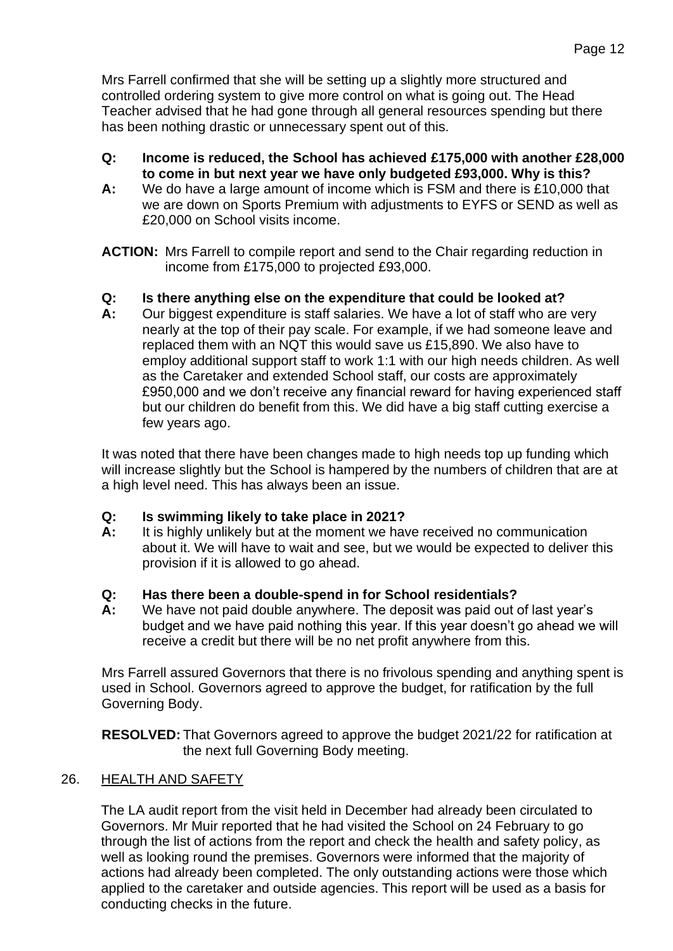Mrs Farrell confirmed that she will be setting up a slightly more structured and controlled ordering system to give more control on what is going out. The Head Teacher advised that he had gone through all general resources spending but there has been nothing drastic or unnecessary spent out of this.

- **Q: Income is reduced, the School has achieved £175,000 with another £28,000 to come in but next year we have only budgeted £93,000. Why is this?**
- **A:** We do have a large amount of income which is FSM and there is £10,000 that we are down on Sports Premium with adjustments to EYFS or SEND as well as £20,000 on School visits income.

**ACTION:** Mrs Farrell to compile report and send to the Chair regarding reduction in income from £175,000 to projected £93,000.

# **Q: Is there anything else on the expenditure that could be looked at?**

**A:** Our biggest expenditure is staff salaries. We have a lot of staff who are very nearly at the top of their pay scale. For example, if we had someone leave and replaced them with an NQT this would save us £15,890. We also have to employ additional support staff to work 1:1 with our high needs children. As well as the Caretaker and extended School staff, our costs are approximately £950,000 and we don't receive any financial reward for having experienced staff but our children do benefit from this. We did have a big staff cutting exercise a few years ago.

It was noted that there have been changes made to high needs top up funding which will increase slightly but the School is hampered by the numbers of children that are at a high level need. This has always been an issue.

## **Q: Is swimming likely to take place in 2021?**

**A:** It is highly unlikely but at the moment we have received no communication about it. We will have to wait and see, but we would be expected to deliver this provision if it is allowed to go ahead.

## **Q: Has there been a double-spend in for School residentials?**

**A:** We have not paid double anywhere. The deposit was paid out of last year's budget and we have paid nothing this year. If this year doesn't go ahead we will receive a credit but there will be no net profit anywhere from this.

Mrs Farrell assured Governors that there is no frivolous spending and anything spent is used in School. Governors agreed to approve the budget, for ratification by the full Governing Body.

**RESOLVED:** That Governors agreed to approve the budget 2021/22 for ratification at the next full Governing Body meeting.

# 26. HEALTH AND SAFETY

The LA audit report from the visit held in December had already been circulated to Governors. Mr Muir reported that he had visited the School on 24 February to go through the list of actions from the report and check the health and safety policy, as well as looking round the premises. Governors were informed that the majority of actions had already been completed. The only outstanding actions were those which applied to the caretaker and outside agencies. This report will be used as a basis for conducting checks in the future.